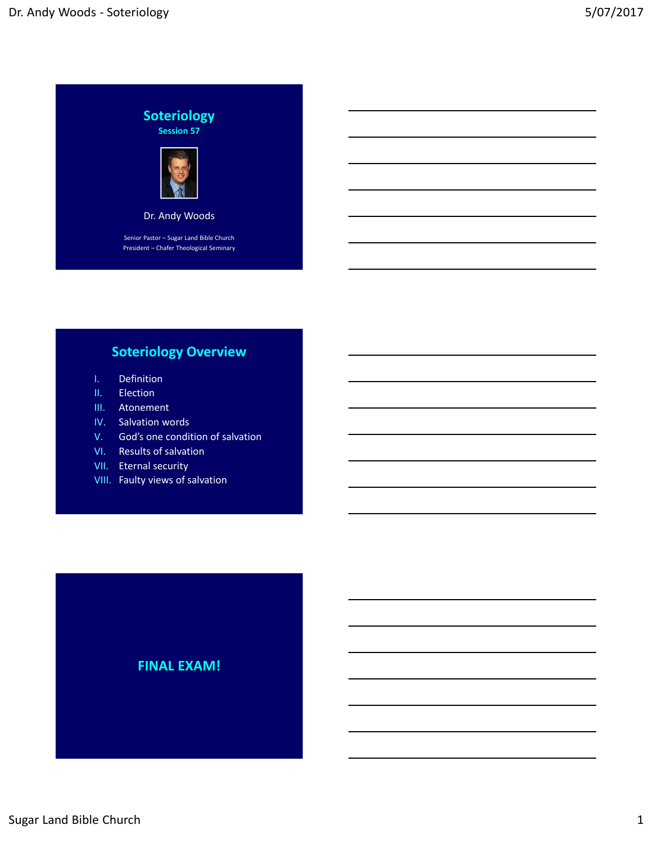

# **Soteriology Overview**

- I. Definition
- II. Election
- III. Atonement
- IV. Salvation words
- V. God's one condition of salvation
- VI. Results of salvation
- VII. Eternal security
- VIII. Faulty views of salvation

## **FINAL EXAM!**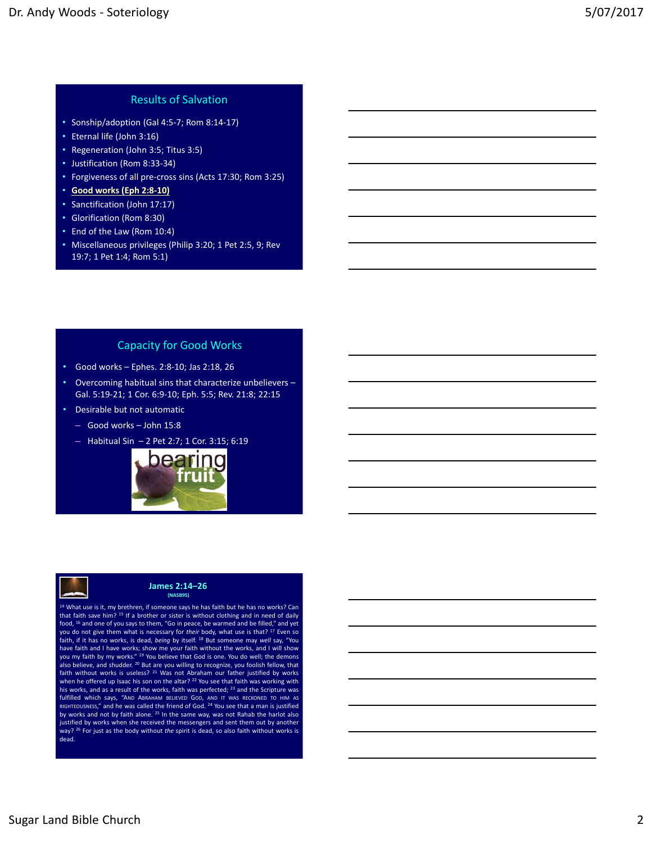## Results of Salvation

- Sonship/adoption (Gal 4:5‐7; Rom 8:14‐17)
- Eternal life (John 3:16)
- Regeneration (John 3:5; Titus 3:5)
- Justification (Rom 8:33‐34)
- Forgiveness of all pre‐cross sins (Acts 17:30; Rom 3:25)
- **Good works (Eph 2:8‐10)**
- Sanctification (John 17:17)
- Glorification (Rom 8:30)
- End of the Law (Rom 10:4)
- Miscellaneous privileges (Philip 3:20; 1 Pet 2:5, 9; Rev 19:7; 1 Pet 1:4; Rom 5:1)

#### Capacity for Good Works

- Good works Ephes. 2:8‐10; Jas 2:18, 26
- Overcoming habitual sins that characterize unbelievers Gal. 5:19‐21; 1 Cor. 6:9‐10; Eph. 5:5; Rev. 21:8; 22:15
- Desirable but not automatic
	- Good works John 15:8
	- Habitual Sin 2 Pet 2:7; 1 Cor. 3:15; 6:19





#### **James 2:14–26 (NASB95)**

<sup>14</sup> What use is it, my brethren, if someone says he has faith but he has no works? Can that faith save him? <sup>15</sup> If a brother or sister is without clothing and in need of daily food, <sup>16</sup> and one of you says to them, "Go in peace, be warmed and be filled," and yet you do not give them what is necessary for *their* body, what use is that? <sup>17</sup> Even so faith, if it has no works, is dead, *being* by itself. <sup>18</sup> But someone may *well* say, "You have faith and I have works; show me your faith without the works, and I will show you my faith by my works." <sup>19</sup> You believe that God is one. You do well; the demons<br>also believe, and shudder. <sup>20</sup> But are you willing to recognize, you foolish fellow, that<br>faith without works is useless? <sup>21</sup> Was not A when he offered up Isaac his son on the altar? <sup>22</sup> You see that faith was working with his works, and as a result of the works, faith was perfected; <sup>23</sup> and the Scripture was fulfilled which says, "Амр Авванам вецеvер Gop, амр Iт was вескомер то нім аs<br>віснтеоизмеss," and he was called the friend of God. <sup>24</sup> You see that a man is justified by works and not by faith alone.  $25$  In the same way, was not Rahab the harlot also justified by works when she received the messengers and sent them out by another way? <sup>26</sup> For just as the body without *the* spirit is dead, so also faith without works is dead.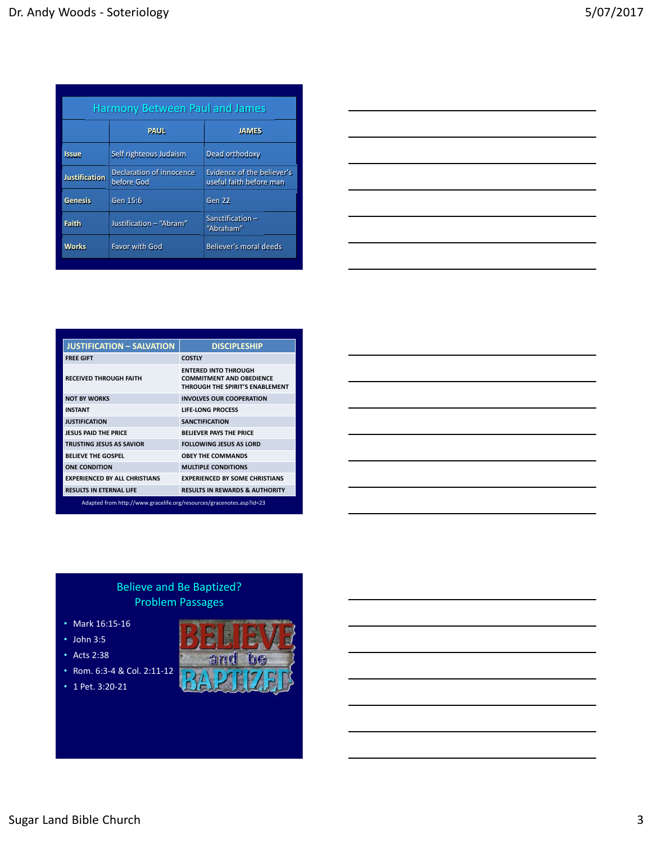| <b>Harmony Between Paul and James</b> |                                        |                                                       |  |  |
|---------------------------------------|----------------------------------------|-------------------------------------------------------|--|--|
|                                       | <b>PAUL</b>                            | <b>JAMES</b>                                          |  |  |
| <b>Issue</b>                          | Self righteous Judaism                 | Dead orthodoxy                                        |  |  |
| <b>Justification</b>                  | Declaration of innocence<br>before God | Evidence of the believer's<br>useful faith before man |  |  |
| <b>Genesis</b>                        | Gen 15:6                               | Gen 22                                                |  |  |
| <b>Faith</b>                          | Justification - "Abram"                | Sanctification-<br>"Abraham"                          |  |  |
| <b>Works</b>                          | <b>Favor with God</b>                  | Believer's moral deeds                                |  |  |

| <u> 1989 - Johann Stoff, deutscher Stoff, der Stoff, der Stoff, der Stoff, der Stoff, der Stoff, der Stoff, der S</u>                                                                                                         |  |         |
|-------------------------------------------------------------------------------------------------------------------------------------------------------------------------------------------------------------------------------|--|---------|
|                                                                                                                                                                                                                               |  |         |
| and the control of the control of the control of the control of the control of the control of the control of the                                                                                                              |  |         |
|                                                                                                                                                                                                                               |  |         |
| ,我们也不会有什么。""我们的人,我们也不会有什么?""我们的人,我们也不会有什么?""我们的人,我们的人,我们也不会有什么?""我们的人,我们的人,我们也不会                                                                                                                                              |  |         |
|                                                                                                                                                                                                                               |  |         |
| the control of the control of the control of the control of the control of the control of the control of the control of the control of the control of the control of the control of the control of the control of the control |  | _______ |
|                                                                                                                                                                                                                               |  |         |
| the control of the control of the control of the control of the control of                                                                                                                                                    |  |         |
|                                                                                                                                                                                                                               |  |         |

| <b>JUSTIFICATION - SALVATION</b>                                     | <b>DISCIPLESHIP</b>                                                                               |  |  |
|----------------------------------------------------------------------|---------------------------------------------------------------------------------------------------|--|--|
|                                                                      |                                                                                                   |  |  |
| <b>FREE GIFT</b>                                                     | <b>COSTLY</b>                                                                                     |  |  |
| <b>RECEIVED THROUGH FAITH</b>                                        | <b>ENTERED INTO THROUGH</b><br><b>COMMITMENT AND OBEDIENCE</b><br>THROUGH THE SPIRIT'S ENABLEMENT |  |  |
| <b>NOT BY WORKS</b>                                                  | <b>INVOLVES OUR COOPERATION</b>                                                                   |  |  |
| <b>INSTANT</b>                                                       | <b>LIFE-LONG PROCESS</b>                                                                          |  |  |
| <b>JUSTIFICATION</b>                                                 | <b>SANCTIFICATION</b>                                                                             |  |  |
| <b>IFSUS PAID THE PRICE</b>                                          | <b>BELIEVER PAYS THE PRICE</b>                                                                    |  |  |
| <b>TRUSTING JESUS AS SAVIOR</b>                                      | <b>FOLLOWING JESUS AS LORD</b>                                                                    |  |  |
| <b>BELIEVE THE GOSPEL</b>                                            | <b>OBEY THE COMMANDS</b>                                                                          |  |  |
| <b>ONE CONDITION</b>                                                 | <b>MULTIPLE CONDITIONS</b>                                                                        |  |  |
| <b>EXPERIENCED BY ALL CHRISTIANS</b>                                 | <b>EXPERIENCED BY SOME CHRISTIANS</b>                                                             |  |  |
| <b>RESULTS IN ETERNAL LIFE</b>                                       | <b>RESULTS IN REWARDS &amp; AUTHORITY</b>                                                         |  |  |
| Adapted from http://www.gracelife.org/resources/gracenotes.asp?id=23 |                                                                                                   |  |  |



## Believe and Be Baptized? Problem Passages

- Mark 16:15‐16
- John 3:5
- Acts 2:38
- Rom. 6:3‐4 & Col. 2:11‐12
- 1 Pet. 3:20-21

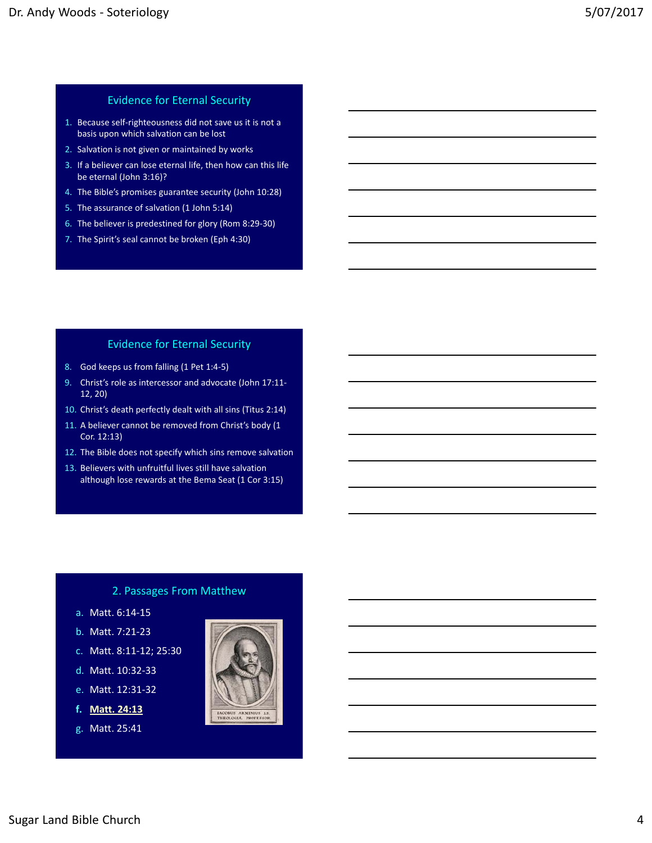## Evidence for Eternal Security

- 1. Because self‐righteousness did not save us it is not a basis upon which salvation can be lost
- 2. Salvation is not given or maintained by works
- 3. If a believer can lose eternal life, then how can this life be eternal (John 3:16)?
- 4. The Bible's promises guarantee security (John 10:28)
- 5. The assurance of salvation (1 John 5:14)
- 6. The believer is predestined for glory (Rom 8:29‐30)
- 7. The Spirit's seal cannot be broken (Eph 4:30)

#### Evidence for Eternal Security

- 8. God keeps us from falling (1 Pet 1:4-5)
- 9. Christ's role as intercessor and advocate (John 17:11-12, 20)
- 10. Christ's death perfectly dealt with all sins (Titus 2:14)
- 11. A believer cannot be removed from Christ's body (1 Cor. 12:13)
- 12. The Bible does not specify which sins remove salvation
- 13. Believers with unfruitful lives still have salvation although lose rewards at the Bema Seat (1 Cor 3:15)

## 2. Passages From Matthew

- a. Matt. 6:14‐15
- b. Matt. 7:21‐23
- c. Matt. 8:11‐12; 25:30
- d. Matt. 10:32‐33
- e. Matt. 12:31‐32
- **f. Matt. 24:13**
- g. Matt. 25:41

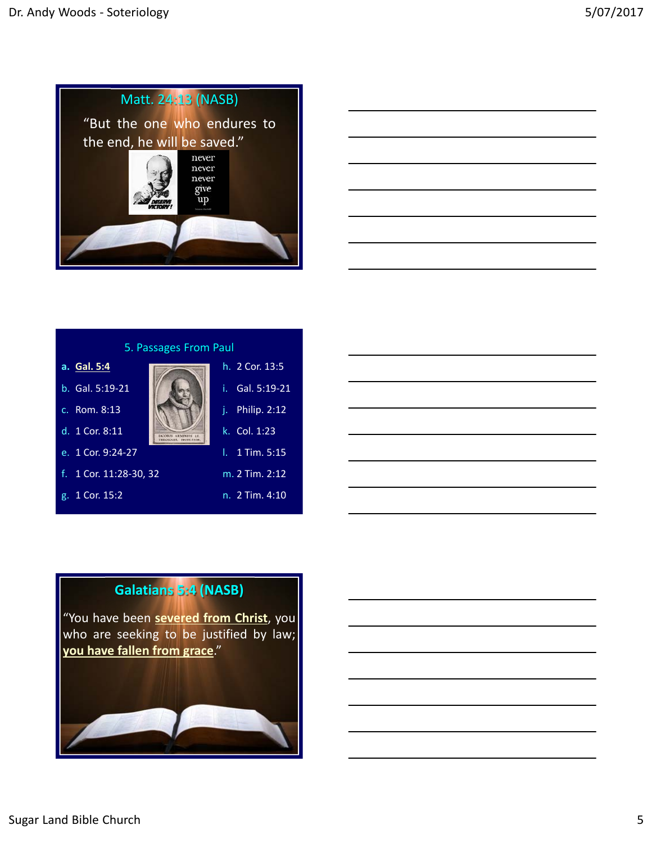





## **Galatians 5:4 (NASB)**

"You have been **severed from Christ**, you who are seeking to be justified by law; **you have fallen from grace**."

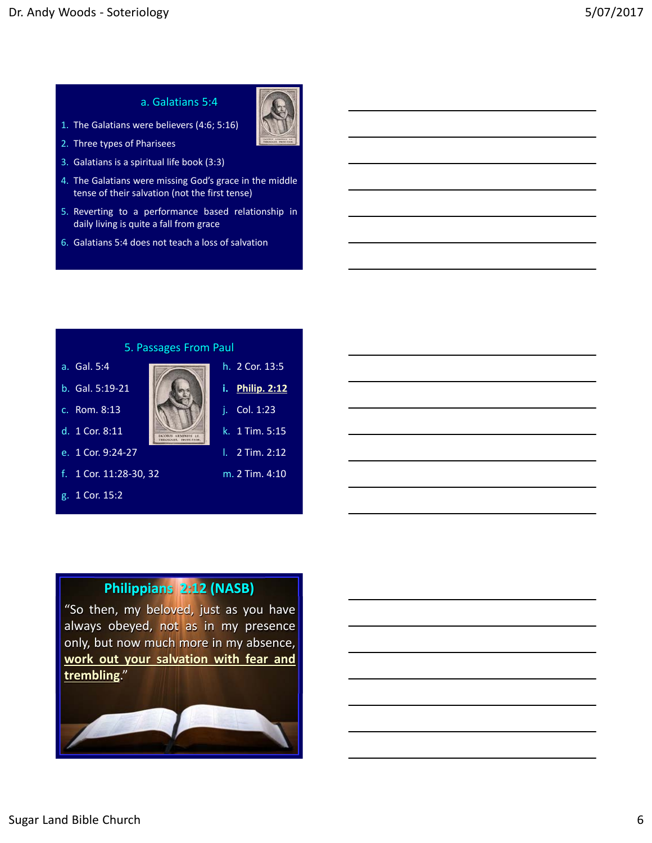#### a. Galatians 5:4



- 2. Three types of Pharisees
- 3. Galatians is a spiritual life book (3:3)

1. The Galatians were believers (4:6; 5:16)

- 4. The Galatians were missing God's grace in the middle tense of their salvation (not the first tense)
- 5. Reverting to a performance based relationship in daily living is quite a fall from grace
- 6. Galatians 5:4 does not teach a loss of salvation



g. 1 Cor. 15:2



- 
- k. 1 Tim. 5:15
- l. 2 Tim. 2:12
- m. 2 Tim. 4:10

## **Philippians 2:12 (NASB)**

"So then, my beloved, just as you have always obeyed, not as in my presence only, but now much more in my absence, **work out your salvation with fear and trembling**."

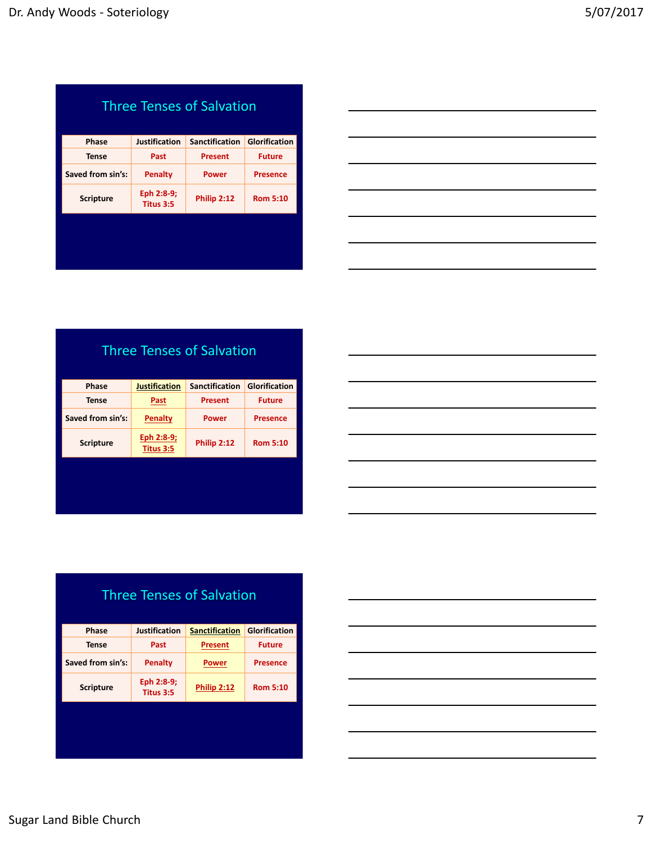| <b>Three Tenses of Salvation</b> |                         |                       |                 |  |
|----------------------------------|-------------------------|-----------------------|-----------------|--|
| <b>Phase</b>                     | <b>Justification</b>    | <b>Sanctification</b> | Glorification   |  |
| Tense                            | Past                    | <b>Present</b>        | <b>Future</b>   |  |
| Saved from sin's:                | Penalty                 | Power                 | Presence        |  |
| <b>Scripture</b>                 | Eph 2:8-9;<br>Titus 3:5 | Philip 2:12           | <b>Rom 5:10</b> |  |
|                                  |                         |                       |                 |  |
|                                  |                         |                       |                 |  |



Three Tenses of Salvation

| <b>Phase</b>      | <b>Justification</b>    | <b>Sanctification</b> | <b>Glorification</b> |
|-------------------|-------------------------|-----------------------|----------------------|
| Tense             | Past                    | Present               | <b>Future</b>        |
| Saved from sin's: | Penalty                 | Power                 | <b>Presence</b>      |
| <b>Scripture</b>  | Eph 2:8-9;<br>Titus 3:5 | Philip 2:12           | <b>Rom 5:10</b>      |

| the contract of the contract of the contract of the contract of the contract of |  |  |
|---------------------------------------------------------------------------------|--|--|
|                                                                                 |  |  |

| <b>Three Tenses of Salvation</b> |                         |                       |                 |  |
|----------------------------------|-------------------------|-----------------------|-----------------|--|
| Phase                            | <b>Justification</b>    | <b>Sanctification</b> | Glorification   |  |
| Tense                            | Past                    | <b>Present</b>        | <b>Future</b>   |  |
| Saved from sin's:                | Penalty                 | Power                 | <b>Presence</b> |  |
| <b>Scripture</b>                 | Eph 2:8-9;<br>Titus 3:5 | <b>Philip 2:12</b>    | <b>Rom 5:10</b> |  |
|                                  |                         |                       |                 |  |
|                                  |                         |                       |                 |  |

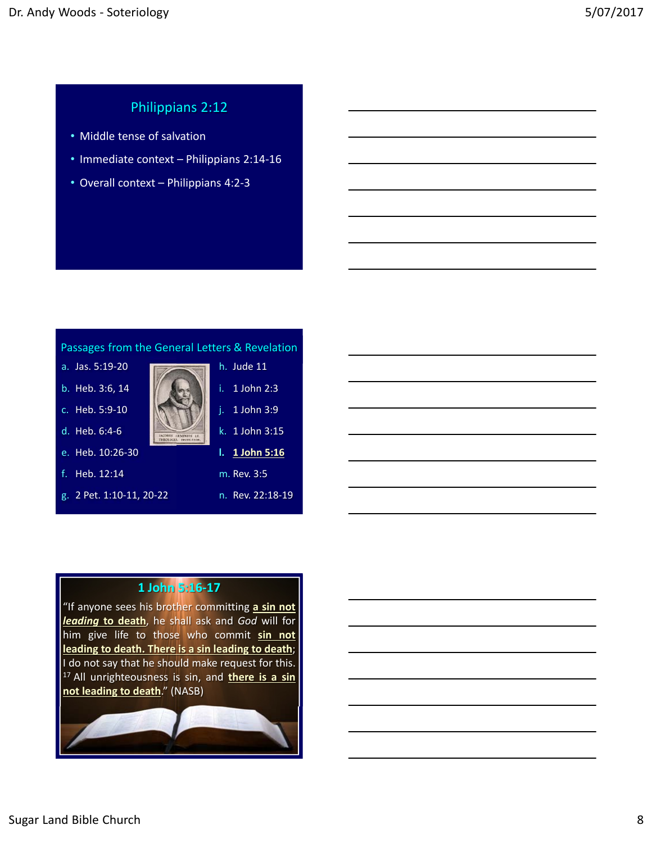## Philippians 2:12

- Middle tense of salvation
- Immediate context Philippians 2:14‐16
- Overall context Philippians 4:2‐3



## **1 John 5:16‐17**

"If anyone sees his brother committing **a sin not** *leading* **to death**, he shall ask and *God* will for him give life to those who commit **sin not leading to death. There is a sin leading to death**; I do not say that he should make request for this. <sup>17</sup> All unrighteousness is sin, and **there is a sin not leading to death**." (NASB)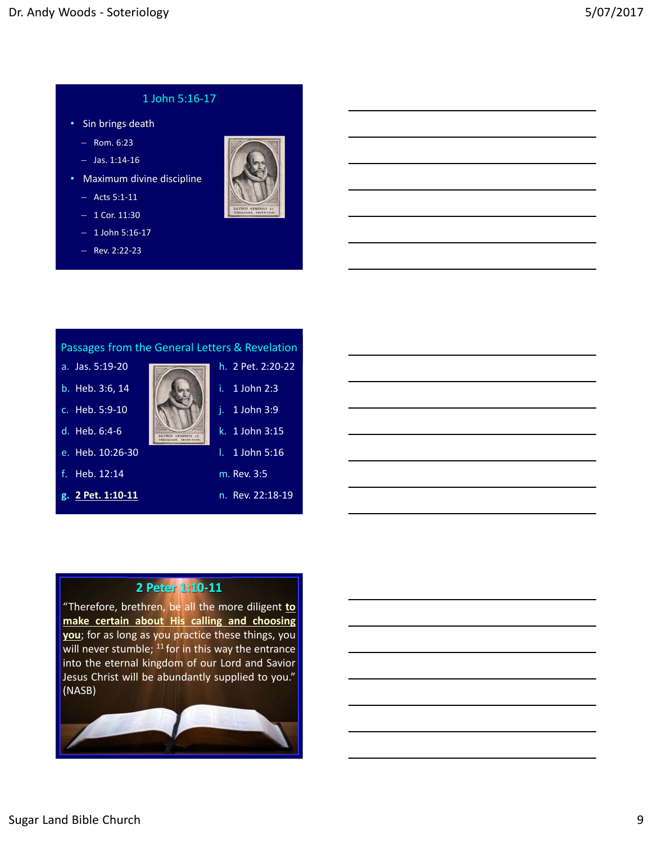## 1 John 5:16‐17

- Sin brings death
	- Rom. 6:23
	- Jas. 1:14‐16
- Maximum divine discipline
	- Acts 5:1‐11
	- $-1$  Cor. 11:30
	- 1 John 5:16‐17
	- Rev. 2:22‐23





## **2 Peter 1:10‐11**

"Therefore, brethren, be all the more diligent **to make certain about His calling and choosing you**; for as long as you practice these things, you will never stumble;  $^{11}$  for in this way the entrance into the eternal kingdom of our Lord and Savior Jesus Christ will be abundantly supplied to you." (NASB)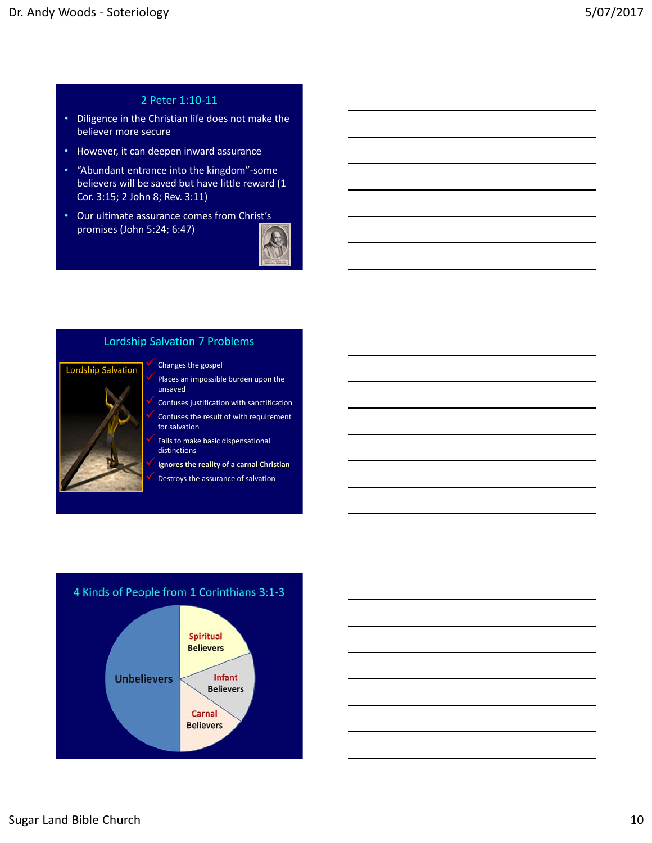## 2 Peter 1:10‐11

- Diligence in the Christian life does not make the believer more secure
- However, it can deepen inward assurance
- "Abundant entrance into the kingdom"‐some believers will be saved but have little reward (1 Cor. 3:15; 2 John 8; Rev. 3:11)
- Our ultimate assurance comes from Christ's promises (John 5:24; 6:47)



## Lordship Salvation 7 Problems



#### Changes the gospel

- Places an impossible burden upon the unsaved
- Confuses justification with sanctification Confuses the result of with requirement for salvation
- Fails to make basic dispensational distinctions
- **Ignores the reality of a carnal Christian**
- Destroys the assurance of salvation



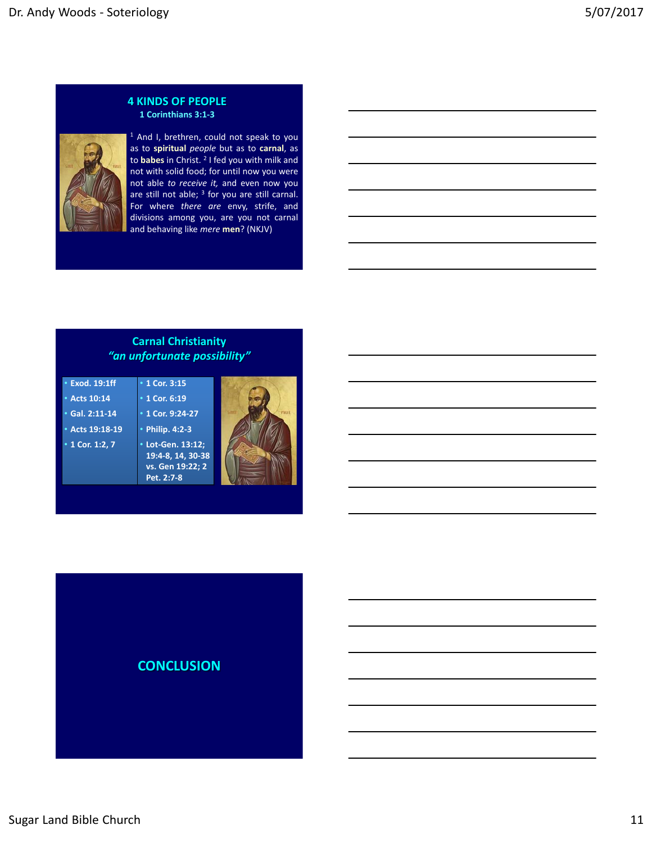#### **4 KINDS OF PEOPLE 1 Corinthians 3:1‐3**



<sup>1</sup> And I, brethren, could not speak to you as to **spiritual** *people* but as to **carnal**, as to **babes** in Christ. <sup>2</sup> I fed you with milk and not with solid food; for until now you were not able *to receive it,* and even now you are still not able; <sup>3</sup> for you are still carnal. For where *there are* envy, strife, and divisions among you, are you not carnal and behaving like *mere* **men**? (NKJV)

## **Carnal Christianity**  *"an unfortunate possibility"*

| • Exod. 19:1ff       | $\cdot$ 1 Cor. 3:15 |  |
|----------------------|---------------------|--|
| • Acts 10:14         | $\cdot$ 1 Cor. 6:19 |  |
| $\cdot$ Gal. 2:11-14 | • 1 Cor. 9:24-27    |  |
| • Acts 19:18-19      | • Philip. 4:2-3     |  |
| • 1 Cor. 1:2, 7      | * Lot-Gen. 13:12:   |  |
|                      | 19:4-8, 14, 30-38   |  |
|                      | vs. Gen 19:22; 2    |  |
|                      | Pet. 2:7-8          |  |